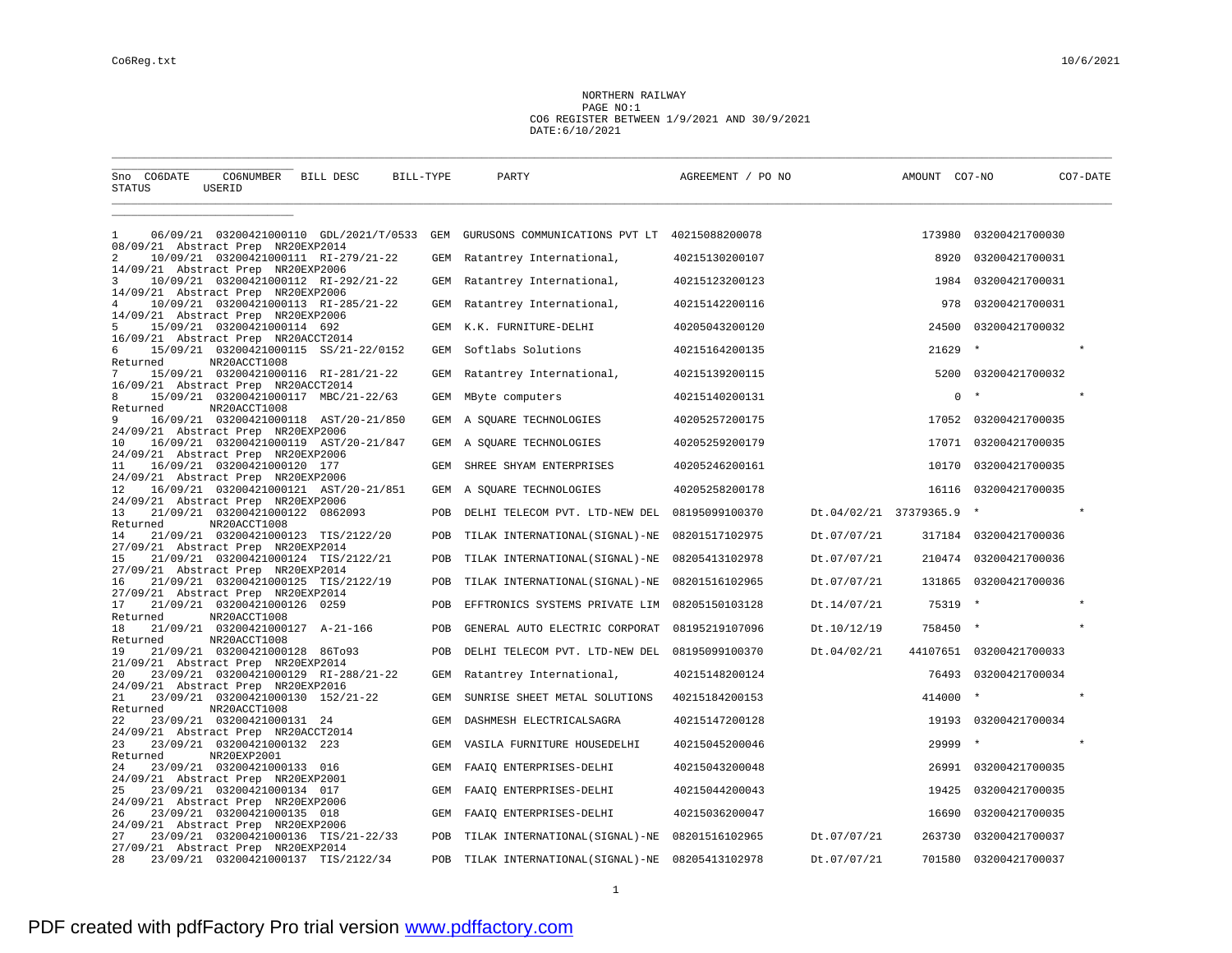## NORTHERN RAILWAY PAGE NO:1 CO6 REGISTER BETWEEN 1/9/2021 AND 30/9/2021 DATE:6/10/2021

\_\_\_\_\_\_\_\_\_\_\_\_\_\_\_\_\_\_\_\_\_\_\_\_\_\_\_\_\_\_\_\_\_\_\_\_\_\_\_\_\_\_\_\_\_\_\_\_\_\_\_\_\_\_\_\_\_\_\_\_\_\_\_\_\_\_\_\_\_\_\_\_\_\_\_\_\_\_\_\_\_\_\_\_\_\_\_\_\_\_\_\_\_\_\_\_\_\_\_\_\_\_\_\_\_\_\_\_\_\_\_\_\_\_\_\_\_\_\_\_\_\_\_\_\_\_\_\_\_\_\_\_\_\_\_\_\_\_\_\_\_\_\_\_\_\_\_\_\_\_\_\_\_\_

| Sno CO6DATE<br><b>STATUS</b>                         | CO6NUMBER<br>USERID                                     | BILL DESC | BILL-TYPE | PARTY                                         | AGREEMENT / PO NO |                          | AMOUNT CO7-NO |                         | CO7-DATE |
|------------------------------------------------------|---------------------------------------------------------|-----------|-----------|-----------------------------------------------|-------------------|--------------------------|---------------|-------------------------|----------|
| -1                                                   | 06/09/21 03200421000110 GDL/2021/T/0533                 |           | GEM       | GURUSONS COMMUNICATIONS PVT LT 40215088200078 |                   |                          |               | 173980 03200421700030   |          |
| 08/09/21 Abstract Prep NR20EXP2014                   |                                                         |           |           |                                               |                   |                          |               |                         |          |
| 2<br>14/09/21 Abstract Prep NR20EXP2006              | 10/09/21  03200421000111  RI-279/21-22                  |           | GEM       | Ratantrey International,                      | 40215130200107    |                          | 8920          | 03200421700031          |          |
| 3                                                    | 10/09/21 03200421000112 RI-292/21-22                    |           | GEM       | Ratantrey International,                      | 40215123200123    |                          | 1984          | 03200421700031          |          |
| 14/09/21 Abstract Prep NR20EXP2006<br>$\overline{4}$ | 10/09/21 03200421000113 RI-285/21-22                    |           | GEM       | Ratantrey International,                      | 40215142200116    |                          | 978           | 03200421700031          |          |
| 14/09/21 Abstract Prep NR20EXP2006                   |                                                         |           |           |                                               |                   |                          |               |                         |          |
| 5                                                    | 15/09/21 03200421000114 692                             |           | GEM       | K.K. FURNITURE-DELHI                          | 40205043200120    |                          | 24500         | 03200421700032          |          |
| 16/09/21 Abstract Prep NR20ACCT2014<br>6<br>Returned | 15/09/21  03200421000115  SS/21-22/0152<br>NR20ACCT1008 |           | GEM       | Softlabs Solutions                            | 40215164200135    |                          | 21629         |                         |          |
| 7                                                    | 15/09/21 03200421000116 RI-281/21-22                    |           | GEM       | Ratantrey International,                      | 40215139200115    |                          | 5200          | 03200421700032          |          |
| 16/09/21 Abstract Prep NR20ACCT2014<br>8             | 15/09/21 03200421000117 MBC/21-22/63                    |           | GEM       | MByte computers                               | 40215140200131    |                          | $\mathbf 0$   |                         | $\star$  |
| Returned<br>9                                        | NR20ACCT1008<br>16/09/21 03200421000118 AST/20-21/850   |           | GEM       | A SQUARE TECHNOLOGIES                         | 40205257200175    |                          |               | 17052 03200421700035    |          |
| 24/09/21 Abstract Prep NR20EXP2006<br>10             | 16/09/21 03200421000119 AST/20-21/847                   |           | GEM       | A SQUARE TECHNOLOGIES                         | 40205259200179    |                          | 17071         | 03200421700035          |          |
| 24/09/21 Abstract Prep NR20EXP2006<br>11             | 16/09/21 03200421000120 177                             |           | GEM       | SHREE SHYAM ENTERPRISES                       | 40205246200161    |                          | 10170         | 03200421700035          |          |
| 24/09/21 Abstract Prep NR20EXP2006                   |                                                         |           |           |                                               |                   |                          |               |                         |          |
| 12<br>24/09/21 Abstract Prep NR20EXP2006             | 16/09/21 03200421000121 AST/20-21/851                   |           | GEM       | A SQUARE TECHNOLOGIES                         | 40205258200178    |                          | 16116         | 03200421700035          |          |
| 13                                                   | 21/09/21 03200421000122 0862093                         |           | POB       | DELHI TELECOM PVT. LTD-NEW DEL                | 08195099100370    | Dt.04/02/21 37379365.9 * |               |                         | $\star$  |
| Returned<br>14                                       | NR20ACCT1008<br>21/09/21 03200421000123 TIS/2122/20     |           | POB       | TILAK INTERNATIONAL (SIGNAL)-NE               | 08201517102975    | Dt.07/07/21              |               | 317184 03200421700036   |          |
| 27/09/21 Abstract Prep NR20EXP2014                   |                                                         |           |           |                                               |                   |                          |               |                         |          |
| 15                                                   | 21/09/21  03200421000124  TIS/2122/21                   |           | POB       | TILAK INTERNATIONAL (SIGNAL)-NE               | 08205413102978    | Dt.07/07/21              | 210474        | 03200421700036          |          |
| 27/09/21 Abstract Prep NR20EXP2014<br>16             | 21/09/21 03200421000125 TIS/2122/19                     |           | POB       | TILAK INTERNATIONAL (SIGNAL)-NE               | 08201516102965    | Dt.07/07/21              | 131865        | 03200421700036          |          |
| 27/09/21 Abstract Prep NR20EXP2014                   |                                                         |           |           |                                               |                   |                          |               |                         |          |
| 17<br>Returned                                       | 21/09/21 03200421000126 0259<br>NR20ACCT1008            |           | POB       | EFFTRONICS SYSTEMS PRIVATE LIM                | 08205150103128    | Dt.14/07/21              | 75319         |                         | $\star$  |
| 18<br>Returned                                       | 21/09/21 03200421000127 A-21-166<br>NR20ACCT1008        |           | POB       | GENERAL AUTO ELECTRIC CORPORAT                | 08195219107096    | Dt.10/12/19              | 758450        |                         | $\star$  |
| 19                                                   | 21/09/21 03200421000128 86To93                          |           | POB       | DELHI TELECOM PVT. LTD-NEW DEL                | 08195099100370    | Dt.04/02/21              |               | 44107651 03200421700033 |          |
| 21/09/21 Abstract Prep NR20EXP2014<br>20             | 23/09/21 03200421000129 RI-288/21-22                    |           | GEM       | Ratantrey International,                      | 40215148200124    |                          | 76493         | 03200421700034          |          |
| 24/09/21 Abstract Prep NR20EXP2016                   |                                                         |           |           |                                               |                   |                          |               |                         |          |
| 21                                                   | 23/09/21 03200421000130 152/21-22                       |           | GEM       | SUNRISE SHEET METAL SOLUTIONS                 | 40215184200153    |                          | 414000        | $\star$                 | $\star$  |
| Returned<br>22                                       | NR20ACCT1008<br>23/09/21 03200421000131 24              |           | GEM       | DASHMESH ELECTRICALSAGRA                      | 40215147200128    |                          |               | 19193 03200421700034    |          |
| 24/09/21 Abstract Prep NR20ACCT2014                  |                                                         |           |           |                                               |                   |                          |               |                         |          |
| 23<br>Returned                                       | 23/09/21 03200421000132 223                             |           | GEM       | VASILA FURNITURE HOUSEDELHI                   | 40215045200046    |                          | 29999         |                         |          |
| 24                                                   | NR20EXP2001<br>23/09/21 03200421000133 016              |           | GEM       | FAAIO ENTERPRISES-DELHI                       | 40215043200048    |                          | 26991         | 03200421700035          |          |
| 24/09/21 Abstract Prep NR20EXP2001                   |                                                         |           |           |                                               |                   |                          |               |                         |          |
| 25<br>24/09/21 Abstract Prep NR20EXP2006             | 23/09/21 03200421000134 017                             |           | GEM       | FAAIQ ENTERPRISES-DELHI                       | 40215044200043    |                          | 19425         | 03200421700035          |          |
| 26                                                   | 23/09/21 03200421000135 018                             |           | GEM       | FAAIQ ENTERPRISES-DELHI                       | 40215036200047    |                          | 16690         | 03200421700035          |          |
| 24/09/21 Abstract Prep NR20EXP2006<br>27             | 23/09/21 03200421000136 TIS/21-22/33                    |           | POB       |                                               | 08201516102965    | Dt.07/07/21              | 263730        | 03200421700037          |          |
| 27/09/21 Abstract Prep NR20EXP2014                   |                                                         |           |           | TILAK INTERNATIONAL (SIGNAL)-NE               |                   |                          |               |                         |          |
| 28                                                   | 23/09/21 03200421000137 TIS/2122/34                     |           | POB       | TILAK INTERNATIONAL (SIGNAL)-NE               | 08205413102978    | Dt.07/07/21              | 701580        | 03200421700037          |          |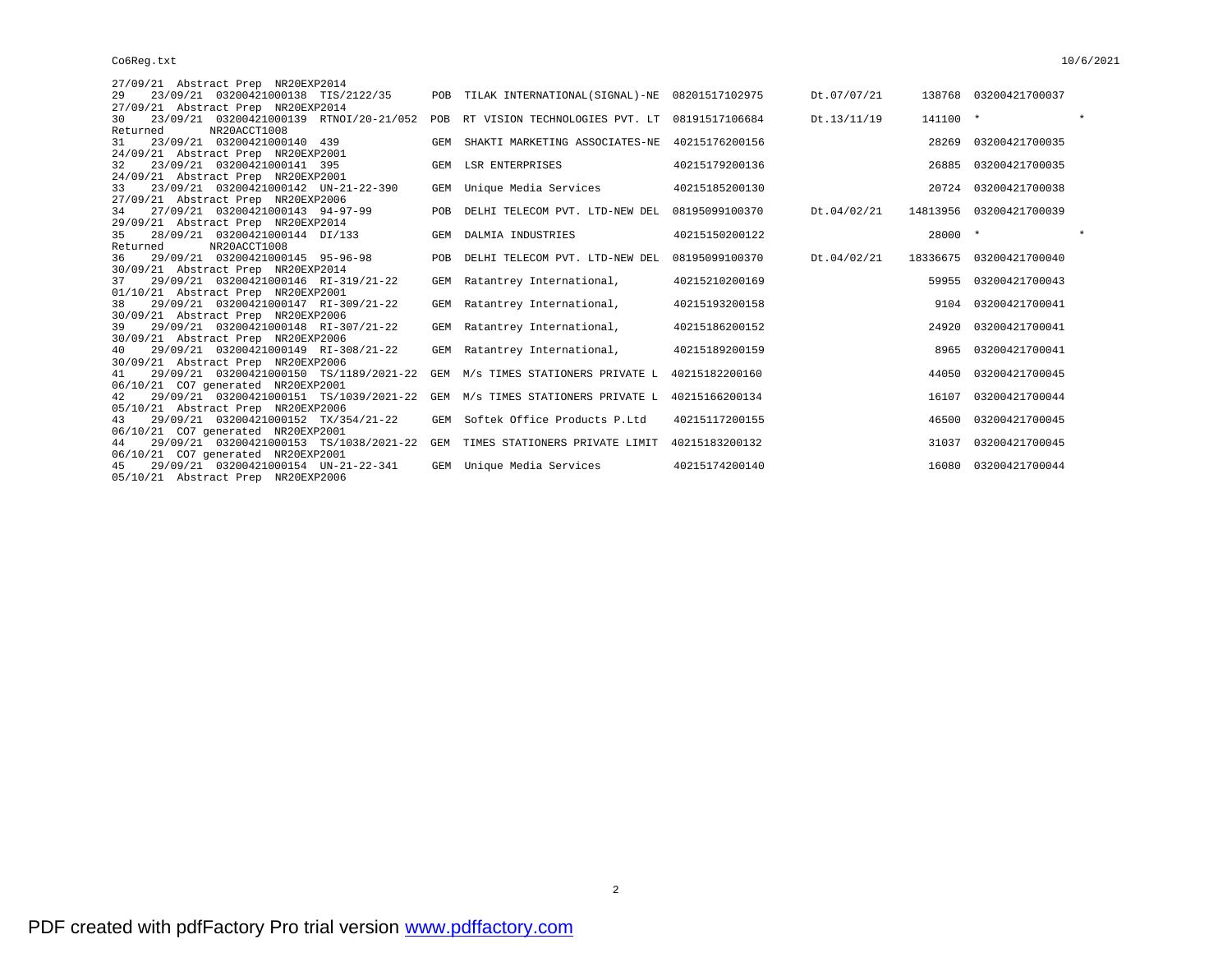## Co6Reg.txt 10/6/2021

| 27/09/21 Abstract Prep NR20EXP2014                                           |            |                                                   |                |             |           |                         |         |
|------------------------------------------------------------------------------|------------|---------------------------------------------------|----------------|-------------|-----------|-------------------------|---------|
| 23/09/21 03200421000138 TIS/2122/35<br>2.9                                   |            | POB TILAK INTERNATIONAL(SIGNAL)-NE 08201517102975 |                | Dt.07/07/21 |           | 138768 03200421700037   |         |
| 27/09/21 Abstract Prep NR20EXP2014                                           |            |                                                   |                |             |           |                         |         |
| 23/09/21 03200421000139 RTNOI/20-21/052<br>30                                |            | POB RT VISION TECHNOLOGIES PVT. LT 08191517106684 |                | Dt.13/11/19 | 141100 *  |                         |         |
| NR20ACCT1008<br>Returned                                                     |            |                                                   |                |             |           |                         |         |
| 23/09/21 03200421000140 439<br>31                                            |            | GEM SHAKTI MARKETING ASSOCIATES-NE 40215176200156 |                |             |           | 28269 03200421700035    |         |
| 24/09/21 Abstract Prep NR20EXP2001                                           |            |                                                   |                |             |           |                         |         |
| 23/09/21 03200421000141 395<br>32                                            |            | GEM LSR ENTERPRISES                               | 40215179200136 |             |           | 26885 03200421700035    |         |
| 24/09/21 Abstract Prep NR20EXP2001                                           |            |                                                   |                |             |           |                         |         |
| 23/09/21 03200421000142 UN-21-22-390<br>33                                   |            | GEM Unique Media Services                         | 40215185200130 |             |           | 20724 03200421700038    |         |
| 27/09/21 Abstract Prep NR20EXP2006                                           |            |                                                   |                |             |           |                         |         |
| 27/09/21 03200421000143 94-97-99<br>34<br>29/09/21 Abstract Prep NR20EXP2014 | <b>POB</b> | DELHI TELECOM PVT. LTD-NEW DEL                    | 08195099100370 | Dt.04/02/21 |           | 14813956 03200421700039 |         |
| 28/09/21 03200421000144 DI/133<br>35                                         |            | GEM DALMIA INDUSTRIES                             | 40215150200122 |             | $28000$ * |                         | $\star$ |
| NR20ACCT1008<br>Returned                                                     |            |                                                   |                |             |           |                         |         |
| 29/09/21 03200421000145 95-96-98<br>36                                       |            | POB DELHI TELECOM PVT. LTD-NEW DEL 08195099100370 |                | Dt.04/02/21 |           | 18336675 03200421700040 |         |
| 30/09/21 Abstract Prep NR20EXP2014                                           |            |                                                   |                |             |           |                         |         |
| 29/09/21 03200421000146 RI-319/21-22<br>37                                   |            | GEM Ratantrey International,                      | 40215210200169 |             |           | 59955 03200421700043    |         |
| 01/10/21 Abstract Prep NR20EXP2001                                           |            |                                                   |                |             |           |                         |         |
| 29/09/21 03200421000147 RI-309/21-22<br>38                                   |            | GEM Ratantrey International,                      | 40215193200158 |             |           | 9104 03200421700041     |         |
| 30/09/21 Abstract Prep NR20EXP2006                                           |            |                                                   |                |             |           |                         |         |
| 29/09/21 03200421000148 RI-307/21-22<br>39                                   |            | GEM Ratantrey International,                      | 40215186200152 |             |           | 24920 03200421700041    |         |
| 30/09/21 Abstract Prep NR20EXP2006                                           |            |                                                   |                |             |           |                         |         |
| 29/09/21 03200421000149 RI-308/21-22<br>40                                   |            | GEM Ratantrey International,                      | 40215189200159 |             |           | 8965 03200421700041     |         |
| 30/09/21 Abstract Prep NR20EXP2006                                           |            |                                                   |                |             |           |                         |         |
| 29/09/21 03200421000150 TS/1189/2021-22<br>41                                |            | GEM M/s TIMES STATIONERS PRIVATE L                | 40215182200160 |             | 44050     | 03200421700045          |         |
| 06/10/21 CO7 generated NR20EXP2001                                           |            |                                                   |                |             |           |                         |         |
| 29/09/21 03200421000151 TS/1039/2021-22<br>42                                |            | GEM M/s TIMES STATIONERS PRIVATE L                | 40215166200134 |             | 16107     | 03200421700044          |         |
| 05/10/21 Abstract Prep NR20EXP2006                                           |            |                                                   |                |             |           |                         |         |
| 29/09/21 03200421000152 TX/354/21-22<br>43                                   |            | GEM Softek Office Products P.Ltd                  | 40215117200155 |             |           | 46500 03200421700045    |         |
| 06/10/21 CO7 generated NR20EXP2001                                           |            |                                                   |                |             |           |                         |         |
| 29/09/21 03200421000153 TS/1038/2021-22<br>44                                |            | GEM TIMES STATIONERS PRIVATE LIMIT 40215183200132 |                |             |           | 31037 03200421700045    |         |
| 06/10/21 CO7 generated NR20EXP2001<br>29/09/21 03200421000154 UN-21-22-341   |            |                                                   | 40215174200140 |             |           | 16080 03200421700044    |         |
| 45<br>05/10/21 Abstract Prep NR20EXP2006                                     |            | GEM Unique Media Services                         |                |             |           |                         |         |
|                                                                              |            |                                                   |                |             |           |                         |         |